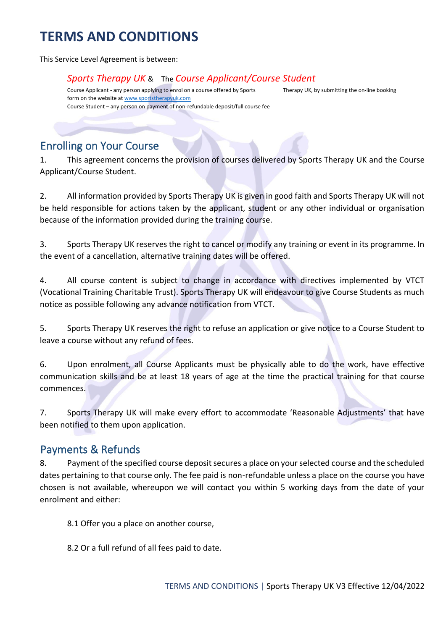This Service Level Agreement is between:

#### *Sports Therapy UK* & The *Course Applicant/Course Student*

Course Applicant - any person applying to enrol on a course offered by Sports Therapy UK, by submitting the on-line booking form on the website [at www.sportstherapyuk.com](http://www.sportstherapyuk.com/) Course Student – any person on payment of non-refundable deposit/full course fee

#### Enrolling on Your Course

1. This agreement concerns the provision of courses delivered by Sports Therapy UK and the Course Applicant/Course Student.

2. All information provided by Sports Therapy UK is given in good faith and Sports Therapy UK will not be held responsible for actions taken by the applicant, student or any other individual or organisation because of the information provided during the training course.

3. Sports Therapy UK reserves the right to cancel or modify any training or event in its programme. In the event of a cancellation, alternative training dates will be offered.

4. All course content is subject to change in accordance with directives implemented by VTCT (Vocational Training Charitable Trust). Sports Therapy UK will endeavour to give Course Students as much notice as possible following any advance notification from VTCT.

5. Sports Therapy UK reserves the right to refuse an application or give notice to a Course Student to leave a course without any refund of fees.

6. Upon enrolment, all Course Applicants must be physically able to do the work, have effective communication skills and be at least 18 years of age at the time the practical training for that course commences.

7. Sports Therapy UK will make every effort to accommodate 'Reasonable Adjustments' that have been notified to them upon application.

#### Payments & Refunds

8. Payment of the specified course deposit secures a place on your selected course and the scheduled dates pertaining to that course only. The fee paid is non-refundable unless a place on the course you have chosen is not available, whereupon we will contact you within 5 working days from the date of your enrolment and either:

8.1 Offer you a place on another course,

8.2 Or a full refund of all fees paid to date.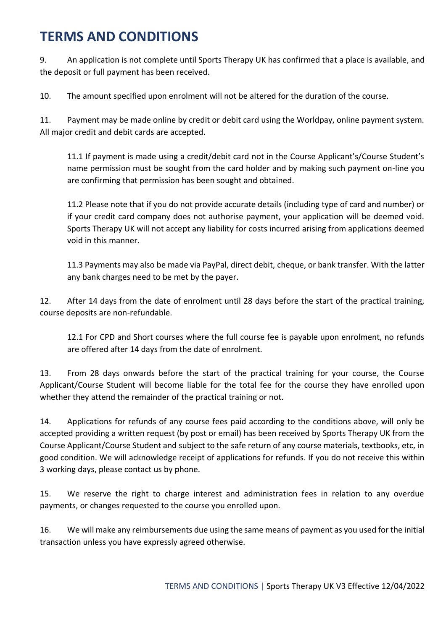9. An application is not complete until Sports Therapy UK has confirmed that a place is available, and the deposit or full payment has been received.

10. The amount specified upon enrolment will not be altered for the duration of the course.

11. Payment may be made online by credit or debit card using the Worldpay, online payment system. All major credit and debit cards are accepted.

11.1 If payment is made using a credit/debit card not in the Course Applicant's/Course Student's name permission must be sought from the card holder and by making such payment on-line you are confirming that permission has been sought and obtained.

11.2 Please note that if you do not provide accurate details (including type of card and number) or if your credit card company does not authorise payment, your application will be deemed void. Sports Therapy UK will not accept any liability for costs incurred arising from applications deemed void in this manner.

11.3 Payments may also be made via PayPal, direct debit, cheque, or bank transfer. With the latter any bank charges need to be met by the payer.

12. After 14 days from the date of enrolment until 28 days before the start of the practical training, course deposits are non-refundable.

12.1 For CPD and Short courses where the full course fee is payable upon enrolment, no refunds are offered after 14 days from the date of enrolment.

13. From 28 days onwards before the start of the practical training for your course, the Course Applicant/Course Student will become liable for the total fee for the course they have enrolled upon whether they attend the remainder of the practical training or not.

14. Applications for refunds of any course fees paid according to the conditions above, will only be accepted providing a written request (by post or email) has been received by Sports Therapy UK from the Course Applicant/Course Student and subject to the safe return of any course materials, textbooks, etc, in good condition. We will acknowledge receipt of applications for refunds. If you do not receive this within 3 working days, please contact us by phone.

15. We reserve the right to charge interest and administration fees in relation to any overdue payments, or changes requested to the course you enrolled upon.

16. We will make any reimbursements due using the same means of payment as you used for the initial transaction unless you have expressly agreed otherwise.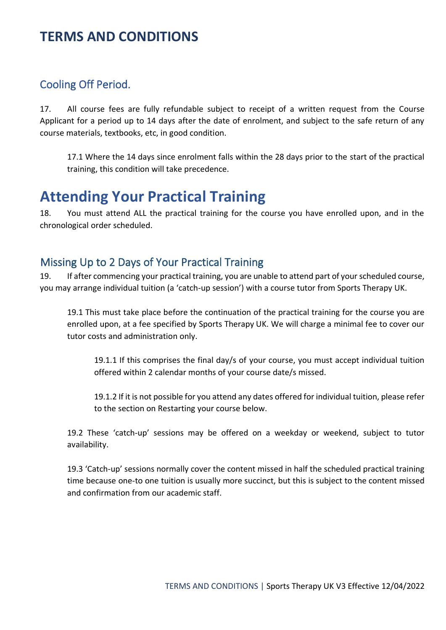### Cooling Off Period.

17. All course fees are fully refundable subject to receipt of a written request from the Course Applicant for a period up to 14 days after the date of enrolment, and subject to the safe return of any course materials, textbooks, etc, in good condition.

17.1 Where the 14 days since enrolment falls within the 28 days prior to the start of the practical training, this condition will take precedence.

# **Attending Your Practical Training**

18. You must attend ALL the practical training for the course you have enrolled upon, and in the chronological order scheduled.

#### Missing Up to 2 Days of Your Practical Training

19. If after commencing your practical training, you are unable to attend part of your scheduled course, you may arrange individual tuition (a 'catch-up session') with a course tutor from Sports Therapy UK.

19.1 This must take place before the continuation of the practical training for the course you are enrolled upon, at a fee specified by Sports Therapy UK. We will charge a minimal fee to cover our tutor costs and administration only.

19.1.1 If this comprises the final day/s of your course, you must accept individual tuition offered within 2 calendar months of your course date/s missed.

19.1.2 If it is not possible for you attend any dates offered for individual tuition, please refer to the section on Restarting your course below.

19.2 These 'catch-up' sessions may be offered on a weekday or weekend, subject to tutor availability.

19.3 'Catch-up' sessions normally cover the content missed in half the scheduled practical training time because one-to one tuition is usually more succinct, but this is subject to the content missed and confirmation from our academic staff.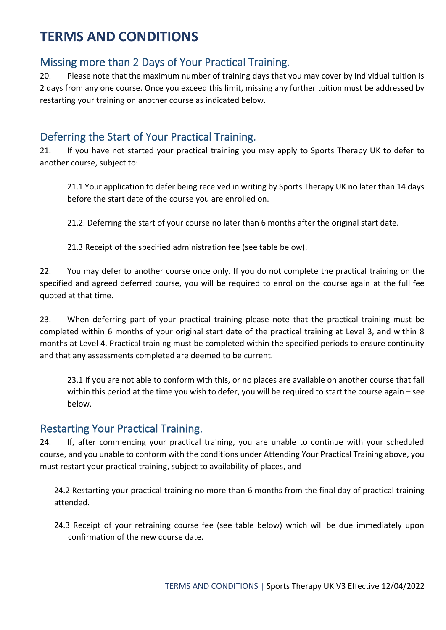### Missing more than 2 Days of Your Practical Training.

20. Please note that the maximum number of training days that you may cover by individual tuition is 2 days from any one course. Once you exceed this limit, missing any further tuition must be addressed by restarting your training on another course as indicated below.

### Deferring the Start of Your Practical Training.

21. If you have not started your practical training you may apply to Sports Therapy UK to defer to another course, subject to:

21.1 Your application to defer being received in writing by Sports Therapy UK no later than 14 days before the start date of the course you are enrolled on.

21.2. Deferring the start of your course no later than 6 months after the original start date.

21.3 Receipt of the specified administration fee (see table below).

22. You may defer to another course once only. If you do not complete the practical training on the specified and agreed deferred course, you will be required to enrol on the course again at the full fee quoted at that time.

23. When deferring part of your practical training please note that the practical training must be completed within 6 months of your original start date of the practical training at Level 3, and within 8 months at Level 4. Practical training must be completed within the specified periods to ensure continuity and that any assessments completed are deemed to be current.

23.1 If you are not able to conform with this, or no places are available on another course that fall within this period at the time you wish to defer, you will be required to start the course again – see below.

#### Restarting Your Practical Training.

24. If, after commencing your practical training, you are unable to continue with your scheduled course, and you unable to conform with the conditions under Attending Your Practical Training above, you must restart your practical training, subject to availability of places, and

24.2 Restarting your practical training no more than 6 months from the final day of practical training attended.

24.3 Receipt of your retraining course fee (see table below) which will be due immediately upon confirmation of the new course date.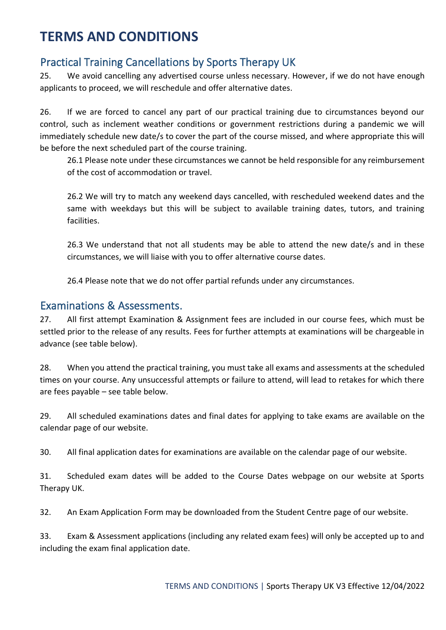### Practical Training Cancellations by Sports Therapy UK

25. We avoid cancelling any advertised course unless necessary. However, if we do not have enough applicants to proceed, we will reschedule and offer alternative dates.

26. If we are forced to cancel any part of our practical training due to circumstances beyond our control, such as inclement weather conditions or government restrictions during a pandemic we will immediately schedule new date/s to cover the part of the course missed, and where appropriate this will be before the next scheduled part of the course training.

26.1 Please note under these circumstances we cannot be held responsible for any reimbursement of the cost of accommodation or travel.

26.2 We will try to match any weekend days cancelled, with rescheduled weekend dates and the same with weekdays but this will be subject to available training dates, tutors, and training facilities.

26.3 We understand that not all students may be able to attend the new date/s and in these circumstances, we will liaise with you to offer alternative course dates.

26.4 Please note that we do not offer partial refunds under any circumstances.

### Examinations & Assessments.

27. All first attempt Examination & Assignment fees are included in our course fees, which must be settled prior to the release of any results. Fees for further attempts at examinations will be chargeable in advance (see table below).

28. When you attend the practical training, you must take all exams and assessments at the scheduled times on your course. Any unsuccessful attempts or failure to attend, will lead to retakes for which there are fees payable – see table below.

29. All scheduled examinations dates and final dates for applying to take exams are available on the calendar page of our website.

30. All final application dates for examinations are available on the calendar page of our website.

31. Scheduled exam dates will be added to the Course Dates webpage on our website at Sports Therapy UK.

32. An Exam Application Form may be downloaded from the Student Centre page of our website.

33. Exam & Assessment applications (including any related exam fees) will only be accepted up to and including the exam final application date.